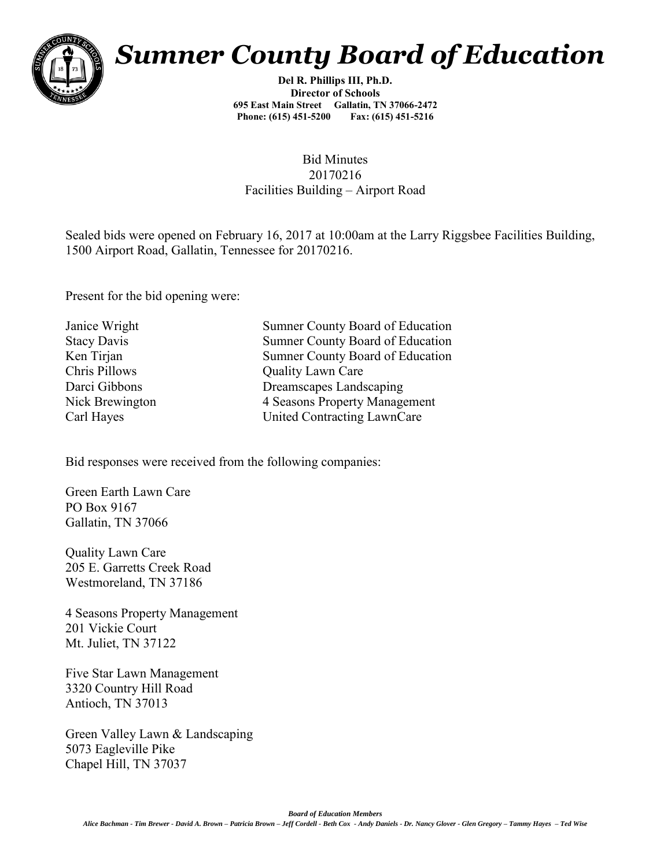

## *Sumner County Board of Education*

**Del R. Phillips III, Ph.D. Director of Schools 695 East Main Street Gallatin, TN 37066-2472 Phone: (615) 451-5200 Fax: (615) 451-5216** 

## Bid Minutes 20170216 Facilities Building – Airport Road

Sealed bids were opened on February 16, 2017 at 10:00am at the Larry Riggsbee Facilities Building, 1500 Airport Road, Gallatin, Tennessee for 20170216.

Present for the bid opening were:

Janice Wright Sumner County Board of Education Stacy Davis Sumner County Board of Education Ken Tirjan Sumner County Board of Education Chris Pillows Quality Lawn Care Darci Gibbons Dreamscapes Landscaping Nick Brewington 4 Seasons Property Management Carl Hayes United Contracting LawnCare

Bid responses were received from the following companies:

Green Earth Lawn Care PO Box 9167 Gallatin, TN 37066

Quality Lawn Care 205 E. Garretts Creek Road Westmoreland, TN 37186

4 Seasons Property Management 201 Vickie Court Mt. Juliet, TN 37122

Five Star Lawn Management 3320 Country Hill Road Antioch, TN 37013

Green Valley Lawn & Landscaping 5073 Eagleville Pike Chapel Hill, TN 37037